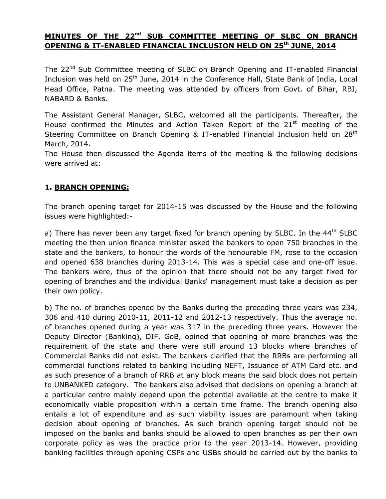### **MINUTES OF THE 22nd SUB COMMITTEE MEETING OF SLBC ON BRANCH OPENING & IT-ENABLED FINANCIAL INCLUSION HELD ON 25th JUNE, 2014**

The 22<sup>nd</sup> Sub Committee meeting of SLBC on Branch Opening and IT-enabled Financial Inclusion was held on 25<sup>th</sup> June, 2014 in the Conference Hall, State Bank of India, Local Head Office, Patna. The meeting was attended by officers from Govt. of Bihar, RBI, NABARD & Banks.

The Assistant General Manager, SLBC, welcomed all the participants. Thereafter, the House confirmed the Minutes and Action Taken Report of the  $21<sup>st</sup>$  meeting of the Steering Committee on Branch Opening & IT-enabled Financial Inclusion held on 28<sup>th</sup> March, 2014.

The House then discussed the Agenda items of the meeting & the following decisions were arrived at:

#### **1. BRANCH OPENING:**

The branch opening target for 2014-15 was discussed by the House and the following issues were highlighted:-

a) There has never been any target fixed for branch opening by SLBC. In the 44<sup>th</sup> SLBC meeting the then union finance minister asked the bankers to open 750 branches in the state and the bankers, to honour the words of the honourable FM, rose to the occasion and opened 638 branches during 2013-14. This was a special case and one-off issue. The bankers were, thus of the opinion that there should not be any target fixed for opening of branches and the individual Banks' management must take a decision as per their own policy.

b) The no. of branches opened by the Banks during the preceding three years was 234, 306 and 410 during 2010-11, 2011-12 and 2012-13 respectively. Thus the average no. of branches opened during a year was 317 in the preceding three years. However the Deputy Director (Banking), DIF, GoB, opined that opening of more branches was the requirement of the state and there were still around 13 blocks where branches of Commercial Banks did not exist. The bankers clarified that the RRBs are performing all commercial functions related to banking including NEFT, Issuance of ATM Card etc. and as such presence of a branch of RRB at any block means the said block does not pertain to UNBANKED category. The bankers also advised that decisions on opening a branch at a particular centre mainly depend upon the potential available at the centre to make it economically viable proposition within a certain time frame. The branch opening also entails a lot of expenditure and as such viability issues are paramount when taking decision about opening of branches. As such branch opening target should not be imposed on the banks and banks should be allowed to open branches as per their own corporate policy as was the practice prior to the year 2013-14. However, providing banking facilities through opening CSPs and USBs should be carried out by the banks to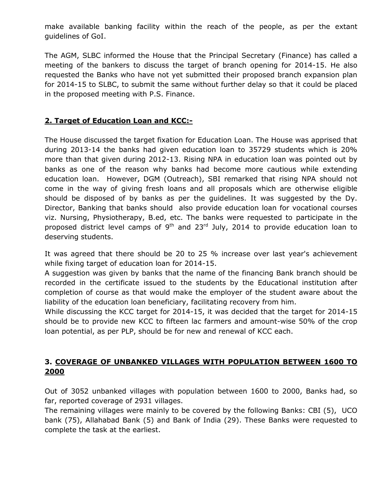make available banking facility within the reach of the people, as per the extant guidelines of GoI.

The AGM, SLBC informed the House that the Principal Secretary (Finance) has called a meeting of the bankers to discuss the target of branch opening for 2014-15. He also requested the Banks who have not yet submitted their proposed branch expansion plan for 2014-15 to SLBC, to submit the same without further delay so that it could be placed in the proposed meeting with P.S. Finance.

# **2. Target of Education Loan and KCC:-**

The House discussed the target fixation for Education Loan. The House was apprised that during 2013-14 the banks had given education loan to 35729 students which is 20% more than that given during 2012-13. Rising NPA in education loan was pointed out by banks as one of the reason why banks had become more cautious while extending education loan. However, DGM (Outreach), SBI remarked that rising NPA should not come in the way of giving fresh loans and all proposals which are otherwise eligible should be disposed of by banks as per the guidelines. It was suggested by the Dy. Director, Banking that banks should also provide education loan for vocational courses viz. Nursing, Physiotherapy, B.ed, etc. The banks were requested to participate in the proposed district level camps of  $9<sup>th</sup>$  and 23<sup>rd</sup> July, 2014 to provide education loan to deserving students.

It was agreed that there should be 20 to 25 % increase over last year's achievement while fixing target of education loan for 2014-15.

A suggestion was given by banks that the name of the financing Bank branch should be recorded in the certificate issued to the students by the Educational institution after completion of course as that would make the employer of the student aware about the liability of the education loan beneficiary, facilitating recovery from him.

While discussing the KCC target for 2014-15, it was decided that the target for 2014-15 should be to provide new KCC to fifteen lac farmers and amount-wise 50% of the crop loan potential, as per PLP, should be for new and renewal of KCC each.

# **3. COVERAGE OF UNBANKED VILLAGES WITH POPULATION BETWEEN 1600 TO 2000**

Out of 3052 unbanked villages with population between 1600 to 2000, Banks had, so far, reported coverage of 2931 villages.

The remaining villages were mainly to be covered by the following Banks: CBI (5), UCO bank (75), Allahabad Bank (5) and Bank of India (29). These Banks were requested to complete the task at the earliest.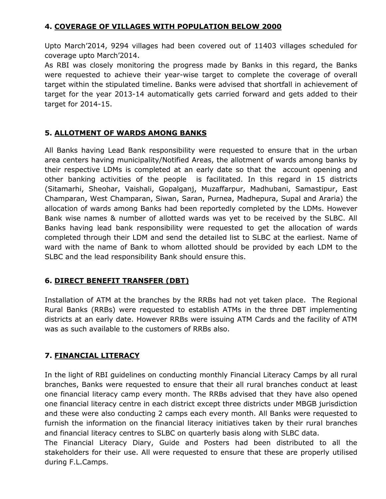## **4. COVERAGE OF VILLAGES WITH POPULATION BELOW 2000**

Upto March'2014, 9294 villages had been covered out of 11403 villages scheduled for coverage upto March'2014.

As RBI was closely monitoring the progress made by Banks in this regard, the Banks were requested to achieve their year-wise target to complete the coverage of overall target within the stipulated timeline. Banks were advised that shortfall in achievement of target for the year 2013-14 automatically gets carried forward and gets added to their target for 2014-15.

# **5. ALLOTMENT OF WARDS AMONG BANKS**

All Banks having Lead Bank responsibility were requested to ensure that in the urban area centers having municipality/Notified Areas, the allotment of wards among banks by their respective LDMs is completed at an early date so that the account opening and other banking activities of the people is facilitated. In this regard in 15 districts (Sitamarhi, Sheohar, Vaishali, Gopalganj, Muzaffarpur, Madhubani, Samastipur, East Champaran, West Champaran, Siwan, Saran, Purnea, Madhepura, Supal and Araria) the allocation of wards among Banks had been reportedly completed by the LDMs. However Bank wise names & number of allotted wards was yet to be received by the SLBC. All Banks having lead bank responsibility were requested to get the allocation of wards completed through their LDM and send the detailed list to SLBC at the earliest. Name of ward with the name of Bank to whom allotted should be provided by each LDM to the SLBC and the lead responsibility Bank should ensure this.

# **6. DIRECT BENEFIT TRANSFER (DBT)**

Installation of ATM at the branches by the RRBs had not yet taken place. The Regional Rural Banks (RRBs) were requested to establish ATMs in the three DBT implementing districts at an early date. However RRBs were issuing ATM Cards and the facility of ATM was as such available to the customers of RRBs also.

# **7. FINANCIAL LITERACY**

In the light of RBI guidelines on conducting monthly Financial Literacy Camps by all rural branches, Banks were requested to ensure that their all rural branches conduct at least one financial literacy camp every month. The RRBs advised that they have also opened one financial literacy centre in each district except three districts under MBGB jurisdiction and these were also conducting 2 camps each every month. All Banks were requested to furnish the information on the financial literacy initiatives taken by their rural branches and financial literacy centres to SLBC on quarterly basis along with SLBC data.

The Financial Literacy Diary, Guide and Posters had been distributed to all the stakeholders for their use. All were requested to ensure that these are properly utilised during F.L.Camps.